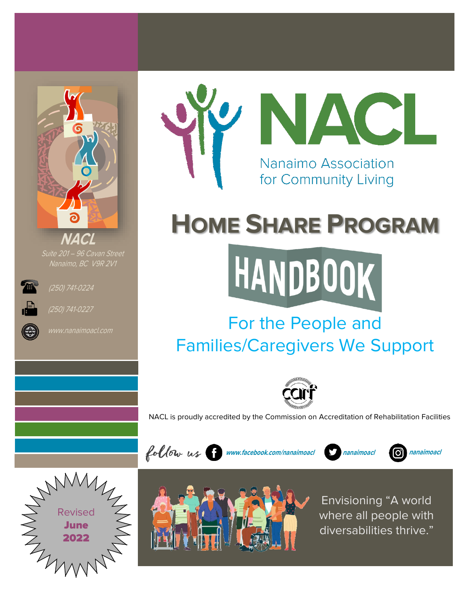

Suite 201 – 96 Cavan Street Nanaimo, BC V9R 2V1





(250) 741-0227



# **HOME SHARE PROGRAM**



## For the People and Families/Caregivers We Support



NACL is proudly accredited by the Commission on Accreditation of Rehabilitation Facilities





**www.facebook.com/nanaimoacl**

Envisioning "A world where all people with diversabilities thrive."

**nanaimoacl nanaimoacl**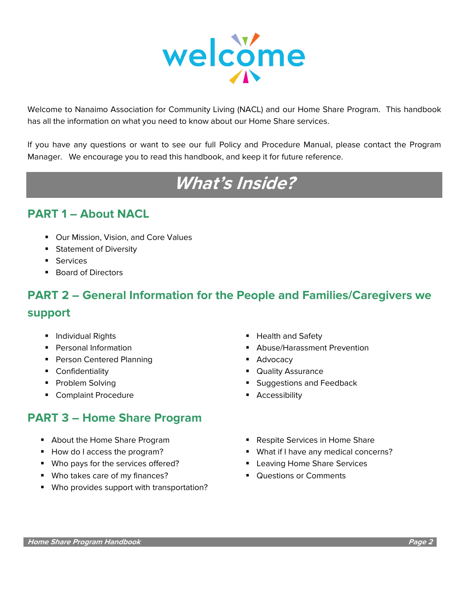

Welcome to Nanaimo Association for Community Living (NACL) and our Home Share Program. This handbook has all the information on what you need to know about our Home Share services.

If you have any questions or want to see our full Policy and Procedure Manual, please contact the Program Manager. We encourage you to read this handbook, and keep it for future reference.

## **What's Inside?**

## **PART 1 – About NACL**

- Our Mission, Vision, and Core Values
- Statement of Diversity
- **•** Services
- Board of Directors

## **PART 2 – General Information for the People and Families/Caregivers we support**

- 
- 
- Person Centered Planning Person Centered Planning
- 
- 
- Complaint Procedure Accessibility

## **PART 3 – Home Share Program**

- 
- 
- Who pays for the services offered? Leaving Home Share Services
- Who takes care of my finances? Questions or Comments
- Who provides support with transportation?
- Individual Rights  **Health and Safety**
- Personal Information Personal Information Personal Information
	-
- Confidentiality  **Confidentiality Quality Assurance**
- Problem Solving  **Problem Solving Problem Solving Problem Solving Problem Solving Problem Problem Problem Pro** 
	-
- About the Home Share Program Respite Services in Home Share
- How do I access the program? ■ What if I have any medical concerns?
	-
	-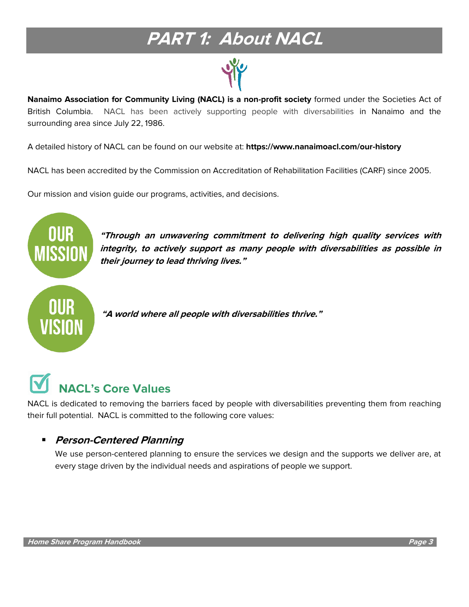## **PART 1: About NACL**



**Nanaimo Association for Community Living (NACL) is a non-profit society** formed under the Societies Act of British Columbia. NACL has been actively supporting people with diversabilities in Nanaimo and the surrounding area since July 22, 1986.

A detailed history of NACL can be found on our website at: **https://www.nanaimoacl.com/our-history**

NACL has been accredited by the [Commission on Accreditation of Rehabilitation Facilities \(CARF\)](http://www.carf.org/) since 2005.

Our mission and vision guide our programs, activities, and decisions.



**"Through an unwavering commitment to delivering high quality services with integrity, to actively support as many people with diversabilities as possible in their journey to lead thriving lives."**



**"A world where all people with diversabilities thrive."**

## **NACL's Core Values**

NACL is dedicated to removing the barriers faced by people with diversabilities preventing them from reaching their full potential. NACL is committed to the following core values:

## ▪ **Person-Centered Planning**

We use person-centered planning to ensure the services we design and the supports we deliver are, at every stage driven by the individual needs and aspirations of people we support.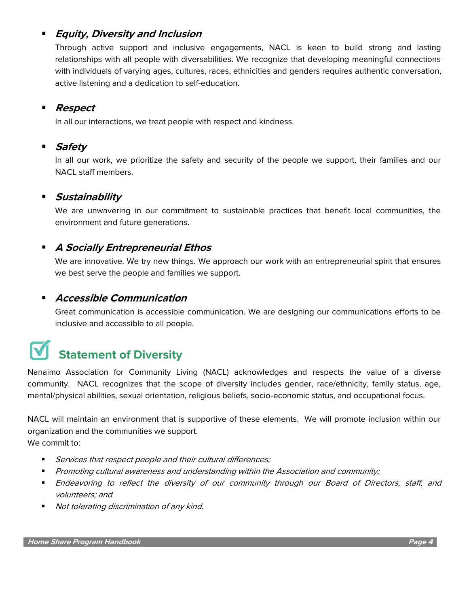## **Equity, Diversity and Inclusion**

Through active support and inclusive engagements, NACL is keen to build strong and lasting relationships with all people with diversabilities. We recognize that developing meaningful connections with individuals of varying ages, cultures, races, ethnicities and genders requires authentic conversation, active listening and a dedication to self-education.

## ▪ **Respect**

In all our interactions, we treat people with respect and kindness.

## **Safety**

In all our work, we prioritize the safety and security of the people we support, their families and our NACL staff members.

### **Sustainability**

We are unwavering in our commitment to sustainable practices that benefit local communities, the environment and future generations.

## **A Socially Entrepreneurial Ethos**

We are innovative. We try new things. We approach our work with an entrepreneurial spirit that ensures we best serve the people and families we support.

## ▪ **Accessible Communication**

Great communication is accessible communication. We are designing our communications efforts to be inclusive and accessible to all people.

## **Statement of Diversity**

Nanaimo Association for Community Living (NACL) acknowledges and respects the value of a diverse community. NACL recognizes that the scope of diversity includes gender, race/ethnicity, family status, age, mental/physical abilities, sexual orientation, religious beliefs, socio-economic status, and occupational focus.

NACL will maintain an environment that is supportive of these elements. We will promote inclusion within our organization and the communities we support. We commit to:

- Services that respect people and their cultural differences;
- Promoting cultural awareness and understanding within the Association and community;
- Endeavoring to reflect the diversity of our community through our Board of Directors, staff, and volunteers; and
- Not tolerating discrimination of any kind.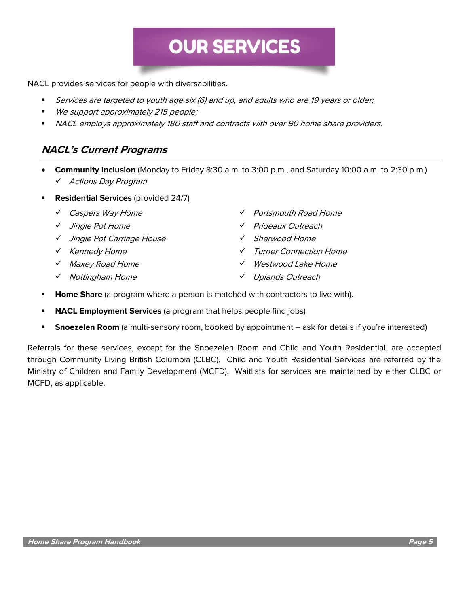## **OUR SERVICES**

NACL provides services for people with diversabilities.

- **EXECT:** Services are targeted to youth age six (6) and up, and adults who are 19 years or older;
- We support approximately 215 people;
- NACL employs approximately 180 staff and contracts with over 90 home share providers.

### **NACL's Current Programs**

- **Community Inclusion** (Monday to Friday 8:30 a.m. to 3:00 p.m., and Saturday 10:00 a.m. to 2:30 p.m.) ✓ Actions Day Program
- **Residential Services** (provided 24/7)
	-
	-
	- ✓ Jingle Pot Carriage House ✓ Sherwood Home
	-
	-
	- ✓ Nottingham Home ✓ Uplands Outreach
	- ✓ Caspers Way Home ✓ Portsmouth Road Home
	- ✓ Jingle Pot Home ✓ Prideaux Outreach
		-
	- ✓ Kennedy Home ✓ Turner Connection Home
	- ✓ Maxey Road Home ✓ Westwood Lake Home
		-
- **Home Share** (a program where a person is matched with contractors to live with).
- **NACL Employment Services** (a program that helps people find jobs)
- **Snoezelen Room** (a multi-sensory room, booked by appointment ask for details if you're interested)

Referrals for these services, except for the Snoezelen Room and Child and Youth Residential, are accepted through Community Living British Columbia (CLBC). Child and Youth Residential Services are referred by the Ministry of Children and Family Development (MCFD). Waitlists for services are maintained by either CLBC or MCFD, as applicable.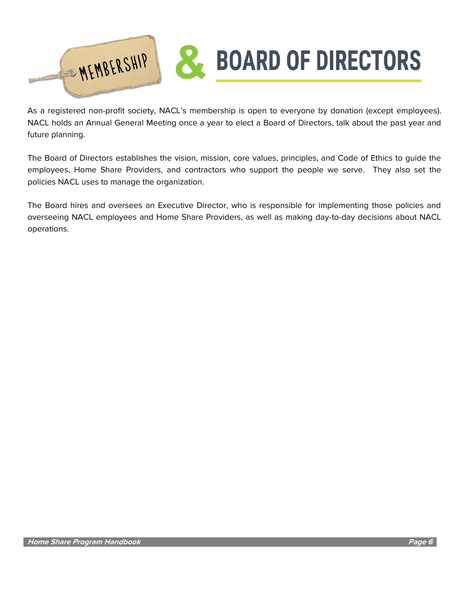

As a registered non-profit society, NACL's membership is open to everyone by donation (except employees). NACL holds an Annual General Meeting once a year to elect a Board of Directors, talk about the past year and future planning.

The Board of Directors establishes the vision, mission, core values, principles, and Code of Ethics to guide the employees, Home Share Providers, and contractors who support the people we serve. They also set the policies NACL uses to manage the organization.

The Board hires and oversees an Executive Director, who is responsible for implementing those policies and overseeing NACL employees and Home Share Providers, as well as making day-to-day decisions about NACL operations.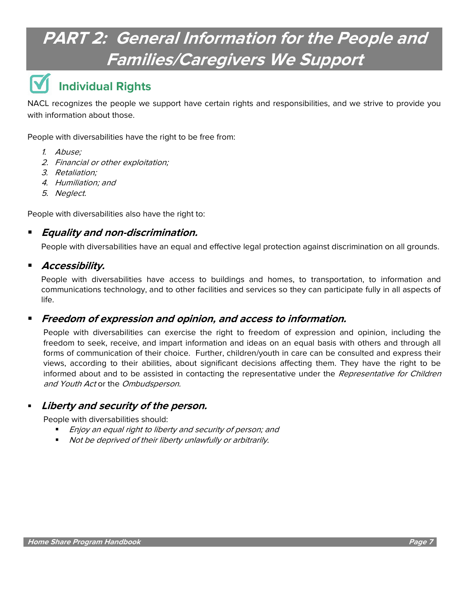## **PART 2: General Information for the People and Families/Caregivers We Support**

## **Individual Rights**

NACL recognizes the people we support have certain rights and responsibilities, and we strive to provide you with information about those.

People with diversabilities have the right to be free from:

- 1. Abuse;
- 2. Financial or other exploitation;
- 3. Retaliation;
- 4. Humiliation; and
- 5. Neglect.

People with diversabilities also have the right to:

## ▪ **Equality and non-discrimination.**

People with diversabilities have an equal and effective legal protection against discrimination on all grounds.

### ▪ **Accessibility.**

People with diversabilities have access to buildings and homes, to transportation, to information and communications technology, and to other facilities and services so they can participate fully in all aspects of life.

### ▪ **Freedom of expression and opinion, and access to information.**

People with diversabilities can exercise the right to freedom of expression and opinion, including the freedom to seek, receive, and impart information and ideas on an equal basis with others and through all forms of communication of their choice. Further, children/youth in care can be consulted and express their views, according to their abilities, about significant decisions affecting them. They have the right to be informed about and to be assisted in contacting the representative under the Representative for Children and Youth Act or the Ombudsperson.

### **Liberty and security of the person.**

People with diversabilities should:

- Enjoy an equal right to liberty and security of person; and
- Not be deprived of their liberty unlawfully or arbitrarily.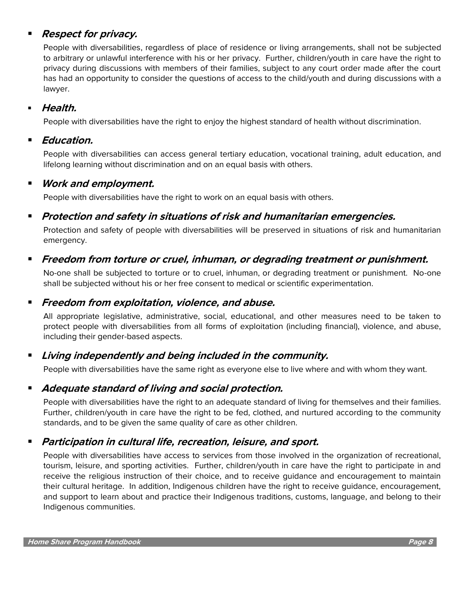## **Respect for privacy.**

People with diversabilities, regardless of place of residence or living arrangements, shall not be subjected to arbitrary or unlawful interference with his or her privacy. Further, children/youth in care have the right to privacy during discussions with members of their families, subject to any court order made after the court has had an opportunity to consider the questions of access to the child/youth and during discussions with a lawyer.

### **Health.**

People with diversabilities have the right to enjoy the highest standard of health without discrimination.

### **Education.**

People with diversabilities can access general tertiary education, vocational training, adult education, and lifelong learning without discrimination and on an equal basis with others.

## ▪ **Work and employment.**

People with diversabilities have the right to work on an equal basis with others.

## ■ Protection and safety in situations of risk and humanitarian emergencies.

Protection and safety of people with diversabilities will be preserved in situations of risk and humanitarian emergency.

## ▪ **Freedom from torture or cruel, inhuman, or degrading treatment or punishment.**

No-one shall be subjected to torture or to cruel, inhuman, or degrading treatment or punishment. No-one shall be subjected without his or her free consent to medical or scientific experimentation.

### ▪ **Freedom from exploitation, violence, and abuse.**

All appropriate legislative, administrative, social, educational, and other measures need to be taken to protect people with diversabilities from all forms of exploitation (including financial), violence, and abuse, including their gender-based aspects.

## Living independently and being included in the community.

People with diversabilities have the same right as everyone else to live where and with whom they want.

## ■ *Adequate standard of living and social protection.*

People with diversabilities have the right to an adequate standard of living for themselves and their families. Further, children/youth in care have the right to be fed, clothed, and nurtured according to the community standards, and to be given the same quality of care as other children.

## ▪ **Participation in cultural life, recreation, leisure, and sport.**

People with diversabilities have access to services from those involved in the organization of recreational, tourism, leisure, and sporting activities. Further, children/youth in care have the right to participate in and receive the religious instruction of their choice, and to receive guidance and encouragement to maintain their cultural heritage. In addition, Indigenous children have the right to receive guidance, encouragement, and support to learn about and practice their Indigenous traditions, customs, language, and belong to their Indigenous communities.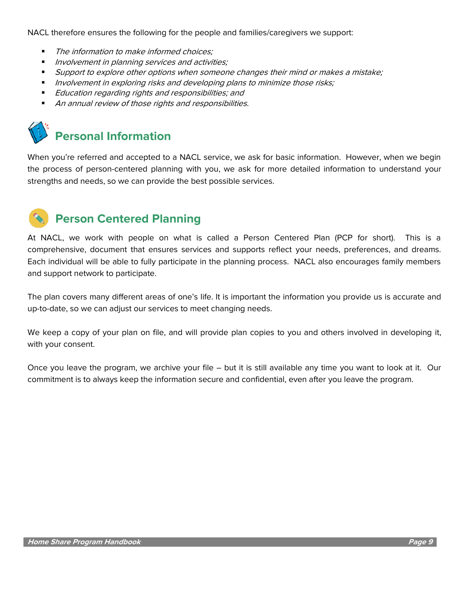NACL therefore ensures the following for the people and families/caregivers we support:

- The information to make informed choices:
- Involvement in planning services and activities;
- **■** Support to explore other options when someone changes their mind or makes a mistake;
- **■** Involvement in exploring risks and developing plans to minimize those risks;
- Education regarding rights and responsibilities; and
- An annual review of those rights and responsibilities.



When you're referred and accepted to a NACL service, we ask for basic information. However, when we begin the process of person-centered planning with you, we ask for more detailed information to understand your strengths and needs, so we can provide the best possible services.



## **Person Centered Planning**

At NACL, we work with people on what is called a Person Centered Plan (PCP for short). This is a comprehensive, document that ensures services and supports reflect your needs, preferences, and dreams. Each individual will be able to fully participate in the planning process. NACL also encourages family members and support network to participate.

The plan covers many different areas of one's life. It is important the information you provide us is accurate and up-to-date, so we can adjust our services to meet changing needs.

We keep a copy of your plan on file, and will provide plan copies to you and others involved in developing it, with your consent.

Once you leave the program, we archive your file – but it is still available any time you want to look at it. Our commitment is to always keep the information secure and confidential, even after you leave the program.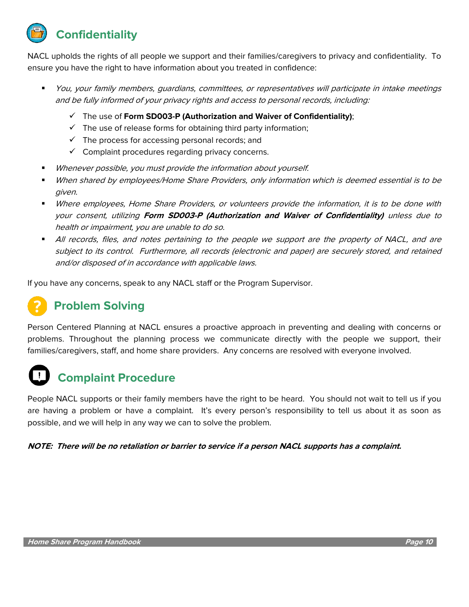**Confidentiality**

NACL upholds the rights of all people we support and their families/caregivers to privacy and confidentiality. To ensure you have the right to have information about you treated in confidence:

- You, your family members, quardians, committees, or representatives will participate in intake meetings and be fully informed of your privacy rights and access to personal records, including:
	- ✓ The use of **Form SD003-P (Authorization and Waiver of Confidentiality)**;
	- $\checkmark$  The use of release forms for obtaining third party information;
	- $\checkmark$  The process for accessing personal records; and
	- $\checkmark$  Complaint procedures regarding privacy concerns.
- Whenever possible, you must provide the information about yourself.
- When shared by employees/Home Share Providers, only information which is deemed essential is to be given.
- Where employees, Home Share Providers, or volunteers provide the information, it is to be done with your consent, utilizing **Form SD003-P (Authorization and Waiver of Confidentiality)** unless due to health or impairment, you are unable to do so.
- All records, files, and notes pertaining to the people we support are the property of NACL, and are subject to its control. Furthermore, all records (electronic and paper) are securely stored, and retained and/or disposed of in accordance with applicable laws.

If you have any concerns, speak to any NACL staff or the Program Supervisor.

## **Problem Solving**

Person Centered Planning at NACL ensures a proactive approach in preventing and dealing with concerns or problems. Throughout the planning process we communicate directly with the people we support, their families/caregivers, staff, and home share providers. Any concerns are resolved with everyone involved.

## **Complaint Procedure**

People NACL supports or their family members have the right to be heard. You should not wait to tell us if you are having a problem or have a complaint. It's every person's responsibility to tell us about it as soon as possible, and we will help in any way we can to solve the problem.

**NOTE: There will be no retaliation or barrier to service if a person NACL supports has a complaint.**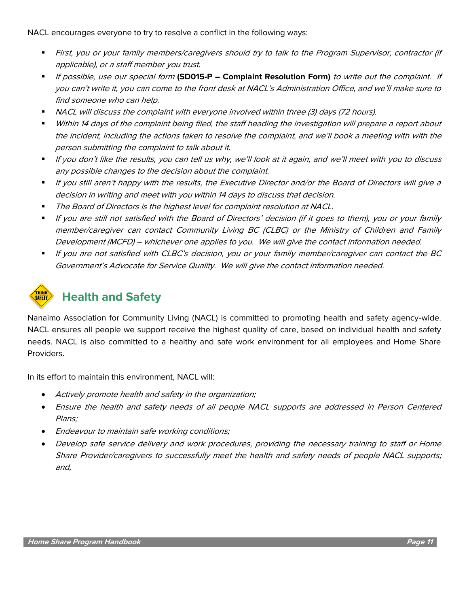NACL encourages everyone to try to resolve a conflict in the following ways:

- First, you or your family members/caregivers should try to talk to the Program Supervisor, contractor (if applicable), or a staff member you trust.
- If possible, use our special form **(SD015-P – Complaint Resolution Form)** to write out the complaint. If you can't write it, you can come to the front desk at NACL's Administration Office, and we'll make sure to find someone who can help.
- NACL will discuss the complaint with everyone involved within three (3) days (72 hours).
- Within 14 days of the complaint being filed, the staff heading the investigation will prepare a report about the incident, including the actions taken to resolve the complaint, and we'll book a meeting with with the person submitting the complaint to talk about it.
- If you don't like the results, you can tell us why, we'll look at it again, and we'll meet with you to discuss any possible changes to the decision about the complaint.
- If you still aren't happy with the results, the Executive Director and/or the Board of Directors will give a decision in writing and meet with you within 14 days to discuss that decision.
- The Board of Directors is the highest level for complaint resolution at NACL.
- If you are still not satisfied with the Board of Directors' decision (if it goes to them), you or your family member/caregiver can contact Community Living BC (CLBC) or the Ministry of Children and Family Development (MCFD) – whichever one applies to you. We will give the contact information needed.
- If you are not satisfied with CLBC's decision, you or your family member/caregiver can contact the BC Government's Advocate for Service Quality. We will give the contact information needed.



## **Health and Safety**

Nanaimo Association for Community Living (NACL) is committed to promoting health and safety agency-wide. NACL ensures all people we support receive the highest quality of care, based on individual health and safety needs. NACL is also committed to a healthy and safe work environment for all employees and Home Share Providers.

In its effort to maintain this environment, NACL will:

- Actively promote health and safety in the organization;
- Ensure the health and safety needs of all people NACL supports are addressed in Person Centered Plans;
- Endeavour to maintain safe working conditions;
- Develop safe service delivery and work procedures, providing the necessary training to staff or Home Share Provider/caregivers to successfully meet the health and safety needs of people NACL supports; and,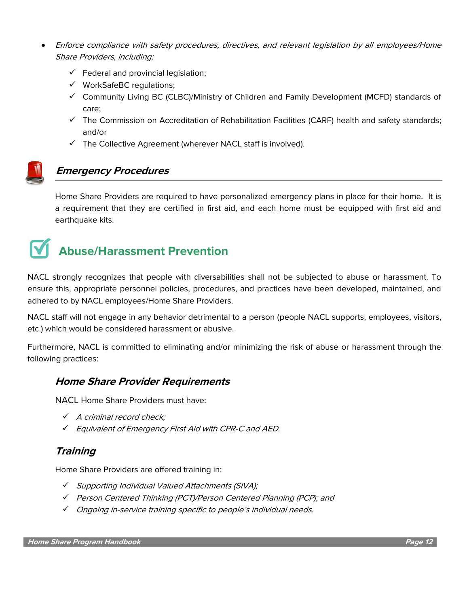- Enforce compliance with safety procedures, directives, and relevant legislation by all employees/Home Share Providers, including:
	- $\checkmark$  Federal and provincial legislation;
	- ✓ WorkSafeBC regulations;
	- ✓ Community Living BC (CLBC)/Ministry of Children and Family Development (MCFD) standards of care;
	- ✓ The Commission on Accreditation of Rehabilitation Facilities (CARF) health and safety standards; and/or
	- $\checkmark$  The Collective Agreement (wherever NACL staff is involved).



## **Emergency Procedures**

Home Share Providers are required to have personalized emergency plans in place for their home. It is a requirement that they are certified in first aid, and each home must be equipped with first aid and earthquake kits.

## **Abuse/Harassment Prevention**

NACL strongly recognizes that people with diversabilities shall not be subjected to abuse or harassment. To ensure this, appropriate personnel policies, procedures, and practices have been developed, maintained, and adhered to by NACL employees/Home Share Providers.

NACL staff will not engage in any behavior detrimental to a person (people NACL supports, employees, visitors, etc.) which would be considered harassment or abusive.

Furthermore, NACL is committed to eliminating and/or minimizing the risk of abuse or harassment through the following practices:

### **Home Share Provider Requirements**

NACL Home Share Providers must have:

- ✓ A criminal record check;
- ✓ Equivalent of Emergency First Aid with CPR-C and AED.

### **Training**

Home Share Providers are offered training in:

- ✓ Supporting Individual Valued Attachments (SIVA);
- ✓ Person Centered Thinking (PCT)/Person Centered Planning (PCP); and
- ✓ Ongoing in-service training specific to people's individual needs.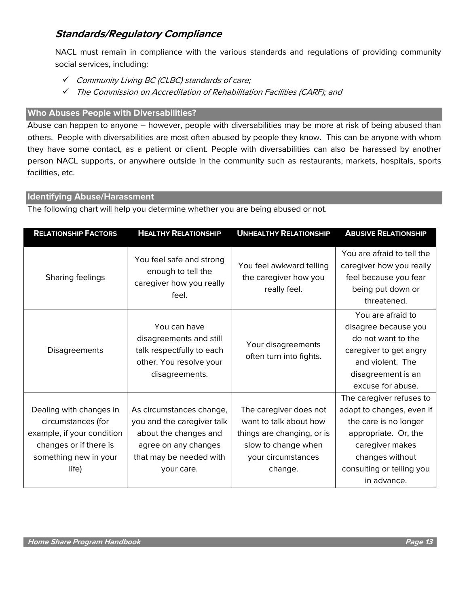## **Standards/Regulatory Compliance**

NACL must remain in compliance with the various standards and regulations of providing community social services, including:

- ✓ Community Living BC (CLBC) standards of care;
- ✓ The Commission on Accreditation of Rehabilitation Facilities (CARF); and

#### **Who Abuses People with Diversabilities?**

Abuse can happen to anyone – however, people with diversabilities may be more at risk of being abused than others. People with diversabilities are most often abused by people they know. This can be anyone with whom they have some contact, as a patient or client. People with diversabilities can also be harassed by another person NACL supports, or anywhere outside in the community such as restaurants, markets, hospitals, sports facilities, etc.

#### **Identifying Abuse/Harassment**

The following chart will help you determine whether you are being abused or not.

| <b>RELATIONSHIP FACTORS</b>                                                                                                             | <b>HEALTHY RELATIONSHIP</b>                                                                                                                      | <b>UNHEALTHY RELATIONSHIP</b>                                                                                                          | <b>ABUSIVE RELATIONSHIP</b>                                                                                                                                                              |
|-----------------------------------------------------------------------------------------------------------------------------------------|--------------------------------------------------------------------------------------------------------------------------------------------------|----------------------------------------------------------------------------------------------------------------------------------------|------------------------------------------------------------------------------------------------------------------------------------------------------------------------------------------|
| Sharing feelings                                                                                                                        | You feel safe and strong<br>enough to tell the<br>caregiver how you really<br>feel.                                                              | You feel awkward telling<br>the caregiver how you<br>really feel.                                                                      | You are afraid to tell the<br>caregiver how you really<br>feel because you fear<br>being put down or<br>threatened.                                                                      |
| <b>Disagreements</b>                                                                                                                    | You can have<br>disagreements and still<br>talk respectfully to each<br>other. You resolve your<br>disagreements.                                | Your disagreements<br>often turn into fights.                                                                                          | You are afraid to<br>disagree because you<br>do not want to the<br>caregiver to get angry<br>and violent. The<br>disagreement is an<br>excuse for abuse.                                 |
| Dealing with changes in<br>circumstances (for<br>example, if your condition<br>changes or if there is<br>something new in your<br>life) | As circumstances change,<br>you and the caregiver talk<br>about the changes and<br>agree on any changes<br>that may be needed with<br>your care. | The caregiver does not<br>want to talk about how<br>things are changing, or is<br>slow to change when<br>your circumstances<br>change. | The caregiver refuses to<br>adapt to changes, even if<br>the care is no longer<br>appropriate. Or, the<br>caregiver makes<br>changes without<br>consulting or telling you<br>in advance. |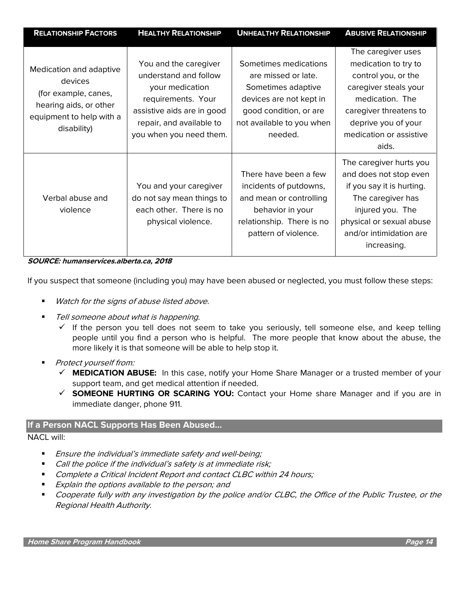| <b>RELATIONSHIP FACTORS</b>                                                                                                     | <b>HEALTHY RELATIONSHIP</b>                                                                                                                                                  | <b>UNHEALTHY RELATIONSHIP</b>                                                                                                                                   | <b>ABUSIVE RELATIONSHIP</b>                                                                                                                                                                        |
|---------------------------------------------------------------------------------------------------------------------------------|------------------------------------------------------------------------------------------------------------------------------------------------------------------------------|-----------------------------------------------------------------------------------------------------------------------------------------------------------------|----------------------------------------------------------------------------------------------------------------------------------------------------------------------------------------------------|
| Medication and adaptive<br>devices<br>(for example, canes,<br>hearing aids, or other<br>equipment to help with a<br>disability) | You and the caregiver<br>understand and follow<br>your medication<br>requirements. Your<br>assistive aids are in good<br>repair, and available to<br>you when you need them. | Sometimes medications<br>are missed or late.<br>Sometimes adaptive<br>devices are not kept in<br>good condition, or are<br>not available to you when<br>needed. | The caregiver uses<br>medication to try to<br>control you, or the<br>caregiver steals your<br>medication. The<br>caregiver threatens to<br>deprive you of your<br>medication or assistive<br>aids. |
| Verbal abuse and<br>violence                                                                                                    | You and your caregiver<br>do not say mean things to<br>each other. There is no<br>physical violence.                                                                         | There have been a few<br>incidents of putdowns,<br>and mean or controlling<br>behavior in your<br>relationship. There is no<br>pattern of violence.             | The caregiver hurts you<br>and does not stop even<br>if you say it is hurting.<br>The caregiver has<br>injured you. The<br>physical or sexual abuse<br>and/or intimidation are<br>increasing.      |

**SOURCE: humanservices.alberta.ca, 2018**

If you suspect that someone (including you) may have been abused or neglected, you must follow these steps:

- Watch for the signs of abuse listed above.
- Tell someone about what is happening.
	- $\checkmark$  If the person you tell does not seem to take you seriously, tell someone else, and keep telling people until you find a person who is helpful. The more people that know about the abuse, the more likely it is that someone will be able to help stop it.
- Protect yourself from:
	- ✓ **MEDICATION ABUSE:** In this case, notify your Home Share Manager or a trusted member of your support team, and get medical attention if needed.
	- ✓ **SOMEONE HURTING OR SCARING YOU:** Contact your Home share Manager and if you are in immediate danger, phone 911.

#### **If a Person NACL Supports Has Been Abused…**

#### NACL will:

- Ensure the individual's immediate safety and well-being;
- Call the police if the individual's safety is at immediate risk;
- Complete a Critical Incident Report and contact CLBC within 24 hours;
- **Explain the options available to the person; and**
- Cooperate fully with any investigation by the police and/or CLBC, the Office of the Public Trustee, or the Regional Health Authority.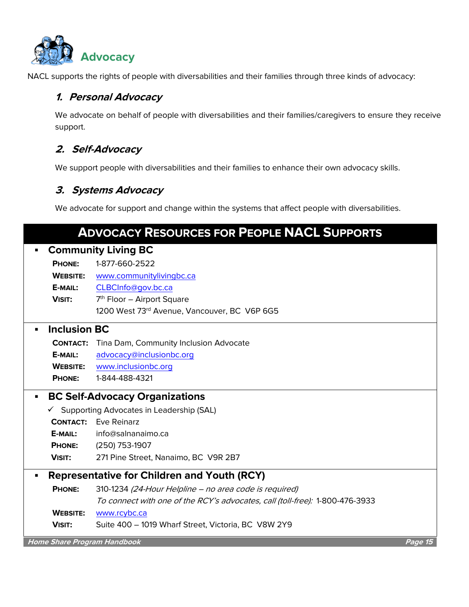

NACL supports the rights of people with diversabilities and their families through three kinds of advocacy:

## **1. Personal Advocacy**

We advocate on behalf of people with diversabilities and their families/caregivers to ensure they receive support.

## **2. Self-Advocacy**

We support people with diversabilities and their families to enhance their own advocacy skills.

### **3. Systems Advocacy**

We advocate for support and change within the systems that affect people with diversabilities.

|   |                                                       | <b>ADVOCACY RESOURCES FOR PEOPLE NACL SUPPORTS</b>                           |         |  |  |
|---|-------------------------------------------------------|------------------------------------------------------------------------------|---------|--|--|
|   | <b>Community Living BC</b>                            |                                                                              |         |  |  |
|   | <b>PHONE:</b>                                         | 1-877-660-2522                                                               |         |  |  |
|   | <b>WEBSITE:</b>                                       | www.communitylivingbc.ca                                                     |         |  |  |
|   | E-MAIL:                                               | CLBCInfo@gov.bc.ca                                                           |         |  |  |
|   | <b>VISIT:</b>                                         | 7 <sup>th</sup> Floor – Airport Square                                       |         |  |  |
|   |                                                       | 1200 West 73rd Avenue, Vancouver, BC V6P 6G5                                 |         |  |  |
|   | <b>Inclusion BC</b>                                   |                                                                              |         |  |  |
|   | <b>CONTACT:</b>                                       | Tina Dam, Community Inclusion Advocate                                       |         |  |  |
|   | E-MAIL:                                               | advocacy@inclusionbc.org                                                     |         |  |  |
|   | <b>WEBSITE:</b>                                       | www.inclusionbc.org                                                          |         |  |  |
|   | <b>PHONE:</b>                                         | 1-844-488-4321                                                               |         |  |  |
| ٠ |                                                       | <b>BC Self-Advocacy Organizations</b>                                        |         |  |  |
|   | $\checkmark$ Supporting Advocates in Leadership (SAL) |                                                                              |         |  |  |
|   |                                                       | <b>CONTACT:</b> Eve Reinarz                                                  |         |  |  |
|   | E-MAIL:                                               | info@salnanaimo.ca                                                           |         |  |  |
|   | <b>PHONE:</b>                                         | (250) 753-1907                                                               |         |  |  |
|   | <b>VISIT:</b>                                         | 271 Pine Street, Nanaimo, BC V9R 2B7                                         |         |  |  |
| ٠ | <b>Representative for Children and Youth (RCY)</b>    |                                                                              |         |  |  |
|   | <b>PHONE:</b>                                         | 310-1234 (24-Hour Helpline - no area code is required)                       |         |  |  |
|   |                                                       | To connect with one of the RCY's advocates, call (toll-free): 1-800-476-3933 |         |  |  |
|   | <b>WEBSITE:</b>                                       | www.rcybc.ca                                                                 |         |  |  |
|   | <b>VISIT:</b>                                         | Suite 400 - 1019 Wharf Street, Victoria, BC V8W 2Y9                          |         |  |  |
|   |                                                       | <b>Home Share Program Handbook</b>                                           | Page 15 |  |  |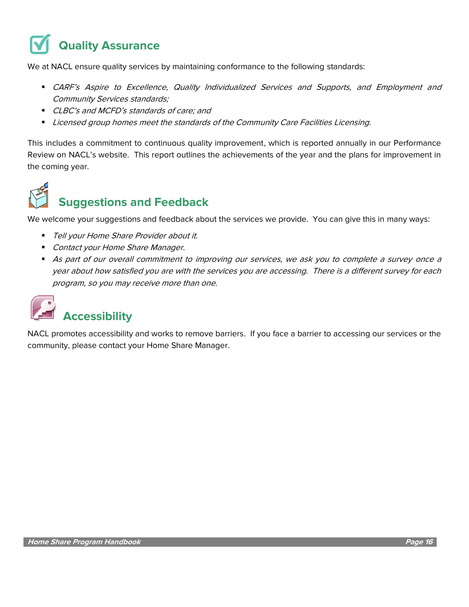## **Quality Assurance**

We at NACL ensure quality services by maintaining conformance to the following standards:

- **CARF's Aspire to Excellence, Quality Individualized Services and Supports, and Employment and** Community Services standards;
- CLBC's and MCFD's standards of care; and
- Licensed group homes meet the standards of the Community Care Facilities Licensing.

This includes a commitment to continuous quality improvement, which is reported annually in our Performance Review on NACL's website. This report outlines the achievements of the year and the plans for improvement in the coming year.

## **Suggestions and Feedback**

We welcome your suggestions and feedback about the services we provide. You can give this in many ways:

- Tell your Home Share Provider about it.
- Contact your Home Share Manager.
- As part of our overall commitment to improving our services, we ask you to complete a survey once a year about how satisfied you are with the services you are accessing. There is a different survey for each program, so you may receive more than one.



NACL promotes accessibility and works to remove barriers. If you face a barrier to accessing our services or the community, please contact your Home Share Manager.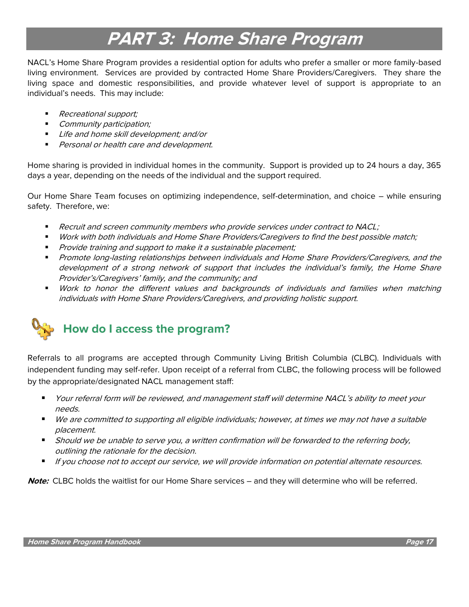## **PART 3: Home Share Program**

NACL's Home Share Program provides a residential option for adults who prefer a smaller or more family-based living environment. Services are provided by contracted Home Share Providers/Caregivers. They share the living space and domestic responsibilities, and provide whatever level of support is appropriate to an individual's needs. This may include:

- Recreational support;
- Community participation;
- Life and home skill development; and/or
- Personal or health care and development.

Home sharing is provided in individual homes in the community. Support is provided up to 24 hours a day, 365 days a year, depending on the needs of the individual and the support required.

Our Home Share Team focuses on optimizing independence, self-determination, and choice – while ensuring safety. Therefore, we:

- Recruit and screen community members who provide services under contract to NACL;
- Work with both individuals and Home Share Providers/Caregivers to find the best possible match;
- **•** Provide training and support to make it a sustainable placement;
- Promote long-lasting relationships between individuals and Home Share Providers/Caregivers, and the development of a strong network of support that includes the individual's family, the Home Share Provider's/Caregivers' family, and the community; and
- Work to honor the different values and backgrounds of individuals and families when matching individuals with Home Share Providers/Caregivers, and providing holistic support.



Referrals to all programs are accepted through Community Living British Columbia (CLBC). Individuals with independent funding may self-refer. Upon receipt of a referral from CLBC, the following process will be followed by the appropriate/designated NACL management staff:

- Your referral form will be reviewed, and management staff will determine NACL's ability to meet your needs.
- We are committed to supporting all eligible individuals; however, at times we may not have a suitable placement.
- **■** Should we be unable to serve you, a written confirmation will be forwarded to the referring body, outlining the rationale for the decision.
- If you choose not to accept our service, we will provide information on potential alternate resources.

**Note:** CLBC holds the waitlist for our Home Share services – and they will determine who will be referred.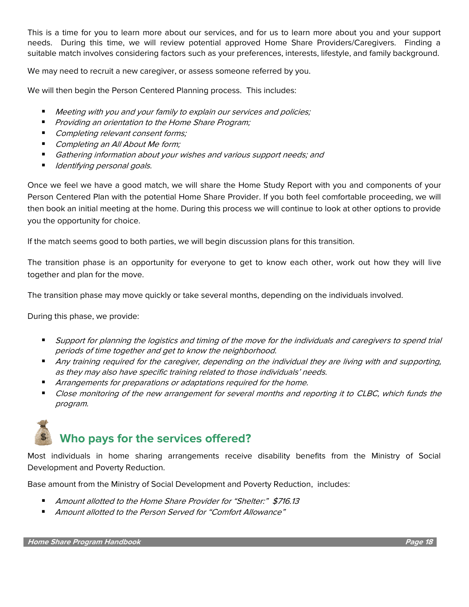This is a time for you to learn more about our services, and for us to learn more about you and your support needs. During this time, we will review potential approved Home Share Providers/Caregivers. Finding a suitable match involves considering factors such as your preferences, interests, lifestyle, and family background.

We may need to recruit a new caregiver, or assess someone referred by you.

We will then begin the Person Centered Planning process. This includes:

- Meeting with you and your family to explain our services and policies;
- Providing an orientation to the Home Share Program;
- Completing relevant consent forms;
- Completing an All About Me form;
- Gathering information about your wishes and various support needs; and
- Identifying personal goals.

Once we feel we have a good match, we will share the Home Study Report with you and components of your Person Centered Plan with the potential Home Share Provider. If you both feel comfortable proceeding, we will then book an initial meeting at the home. During this process we will continue to look at other options to provide you the opportunity for choice.

If the match seems good to both parties, we will begin discussion plans for this transition.

The transition phase is an opportunity for everyone to get to know each other, work out how they will live together and plan for the move.

The transition phase may move quickly or take several months, depending on the individuals involved.

During this phase, we provide:

- Support for planning the logistics and timing of the move for the individuals and caregivers to spend trial periods of time together and get to know the neighborhood.
- Any training required for the caregiver, depending on the individual they are living with and supporting, as they may also have specific training related to those individuals' needs.
- Arrangements for preparations or adaptations required for the home.
- Close monitoring of the new arrangement for several months and reporting it to CLBC, which funds the program.

## **Who pays for the services offered?**

Most individuals in home sharing arrangements receive disability benefits from the Ministry of Social Development and Poverty Reduction.

Base amount from the Ministry of Social Development and Poverty Reduction, includes:

- Amount allotted to the Home Share Provider for "Shelter:" \$716.13
- Amount allotted to the Person Served for "Comfort Allowance"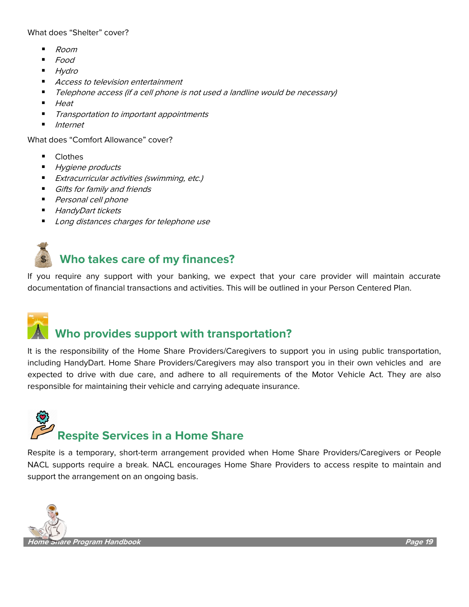What does "Shelter" cover?

- Room
- Food
- **Hydro**
- Access to television entertainment
- Telephone access (if a cell phone is not used a landline would be necessary)
- Heat
- Transportation to important appointments
- **Internet**

What does "Comfort Allowance" cover?

- **Clothes**
- **Hygiene products**
- **Extracurricular activities (swimming, etc.)**
- **■** Gifts for family and friends
- Personal cell phone
- HandyDart tickets
- Long distances charges for telephone use

## **Who takes care of my finances?**

If you require any support with your banking, we expect that your care provider will maintain accurate documentation of financial transactions and activities. This will be outlined in your Person Centered Plan.



## **Who provides support with transportation?**

It is the responsibility of the Home Share Providers/Caregivers to support you in using public transportation, including HandyDart. Home Share Providers/Caregivers may also transport you in their own vehicles and are expected to drive with due care, and adhere to all requirements of the Motor Vehicle Act. They are also responsible for maintaining their vehicle and carrying adequate insurance.

# **Respite Services in a Home Share**

Respite is a temporary, short-term arrangement provided when Home Share Providers/Caregivers or People NACL supports require a break. NACL encourages Home Share Providers to access respite to maintain and support the arrangement on an ongoing basis.

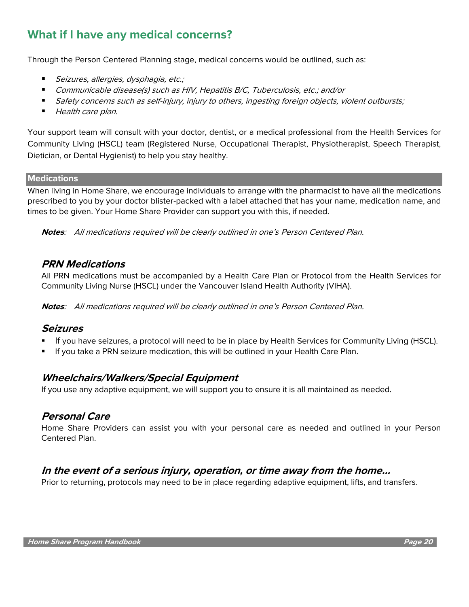## **What if I have any medical concerns?**

Through the Person Centered Planning stage, medical concerns would be outlined, such as:

- Seizures, allergies, dysphagia, etc.;
- Communicable disease(s) such as HIV, Hepatitis B/C, Tuberculosis, etc.; and/or
- Safety concerns such as self-injury, injury to others, ingesting foreign objects, violent outbursts;
- Health care plan.

Your support team will consult with your doctor, dentist, or a medical professional from the Health Services for Community Living (HSCL) team (Registered Nurse, Occupational Therapist, Physiotherapist, Speech Therapist, Dietician, or Dental Hygienist) to help you stay healthy.

#### **Medications**

When living in Home Share, we encourage individuals to arrange with the pharmacist to have all the medications prescribed to you by your doctor blister-packed with a label attached that has your name, medication name, and times to be given. Your Home Share Provider can support you with this, if needed.

**Notes**: All medications required will be clearly outlined in one's Person Centered Plan.

### **PRN Medications**

All PRN medications must be accompanied by a Health Care Plan or Protocol from the Health Services for Community Living Nurse (HSCL) under the Vancouver Island Health Authority (VIHA).

**Notes**: All medications required will be clearly outlined in one's Person Centered Plan.

#### **Seizures**

- If you have seizures, a protocol will need to be in place by Health Services for Community Living (HSCL).
- If you take a PRN seizure medication, this will be outlined in your Health Care Plan.

### **Wheelchairs/Walkers/Special Equipment**

If you use any adaptive equipment, we will support you to ensure it is all maintained as needed.

### **Personal Care**

Home Share Providers can assist you with your personal care as needed and outlined in your Person Centered Plan.

### **In the event of a serious injury, operation, or time away from the home…**

Prior to returning, protocols may need to be in place regarding adaptive equipment, lifts, and transfers.